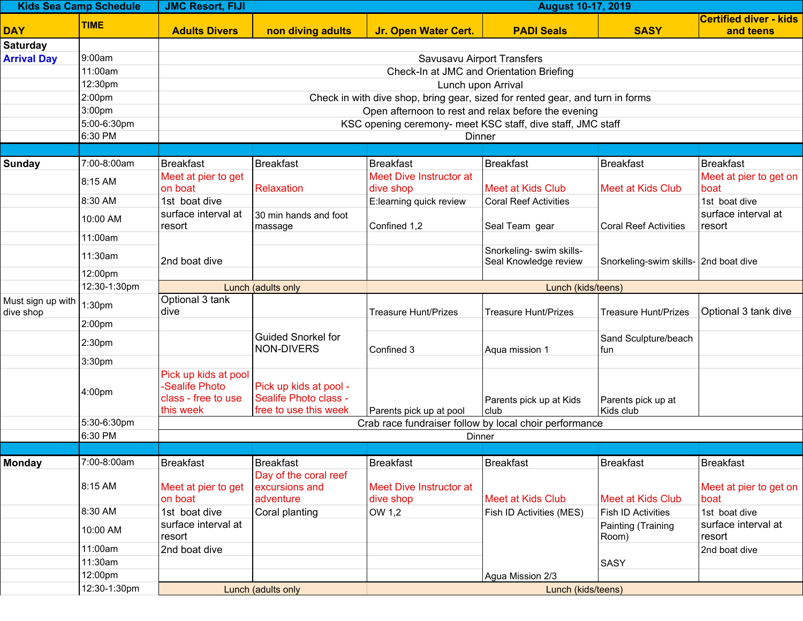| <b>Kids Sea Camp Schedule</b>  |                                                          | <b>JMC Resort, FIJI</b><br><b>August 10-17, 2019</b>             |                                  |                                                                               |                              |                                       |                                            |  |  |  |
|--------------------------------|----------------------------------------------------------|------------------------------------------------------------------|----------------------------------|-------------------------------------------------------------------------------|------------------------------|---------------------------------------|--------------------------------------------|--|--|--|
| <b>DAY</b>                     | <b>TIME</b>                                              | <b>Adults Divers</b>                                             | non diving adults                | <b>Jr. Open Water Cert.</b>                                                   | <b>PADI Seals</b>            | <b>SASY</b>                           | <b>Certified diver - kids</b><br>and teens |  |  |  |
| <b>Saturday</b>                |                                                          |                                                                  |                                  |                                                                               |                              |                                       |                                            |  |  |  |
| <b>Arrival Day</b>             | 9:00am                                                   | Savusavu Airport Transfers                                       |                                  |                                                                               |                              |                                       |                                            |  |  |  |
|                                | 11:00am                                                  |                                                                  |                                  | Check-In at JMC and Orientation Briefing                                      |                              |                                       |                                            |  |  |  |
|                                | 12:30pm                                                  |                                                                  |                                  | Lunch upon Arrival                                                            |                              |                                       |                                            |  |  |  |
|                                | 2:00pm                                                   |                                                                  |                                  | Check in with dive shop, bring gear, sized for rented gear, and turn in forms |                              |                                       |                                            |  |  |  |
|                                | 3:00pm                                                   |                                                                  |                                  | Open afternoon to rest and relax before the evening                           |                              |                                       |                                            |  |  |  |
|                                | 5:00-6:30pm                                              |                                                                  |                                  | KSC opening ceremony- meet KSC staff, dive staff, JMC staff                   |                              |                                       |                                            |  |  |  |
|                                | 6:30 PM                                                  |                                                                  |                                  | Dinner                                                                        |                              |                                       |                                            |  |  |  |
|                                |                                                          |                                                                  |                                  |                                                                               |                              |                                       |                                            |  |  |  |
| <b>Sunday</b>                  | 7:00-8:00am                                              | Breakfast                                                        | <b>Breakfast</b>                 | <b>Breakfast</b>                                                              | Breakfast                    | <b>Breakfast</b>                      | Breakfast                                  |  |  |  |
|                                | 8:15 AM                                                  | Meet at pier to get<br>on boat                                   | Relaxation                       | Meet Dive Instructor at                                                       | <b>Meet at Kids Club</b>     | Meet at Kids Club                     | Meet at pier to get on<br>boat             |  |  |  |
|                                | 8:30 AM                                                  | 1st boat dive                                                    |                                  | dive shop<br>E:learning quick review                                          |                              |                                       |                                            |  |  |  |
|                                |                                                          | surface interval at                                              |                                  |                                                                               | <b>Coral Reef Activities</b> |                                       | 1st boat dive<br>surface interval at       |  |  |  |
|                                | 10:00 AM                                                 | resort                                                           | 30 min hands and foot<br>massage | Confined 1,2                                                                  | Seal Team gear               | <b>Coral Reef Activities</b>          | resort                                     |  |  |  |
|                                | 11:00am                                                  |                                                                  |                                  |                                                                               |                              |                                       |                                            |  |  |  |
|                                | 11:30am                                                  |                                                                  |                                  |                                                                               | Snorkeling- swim skills-     |                                       |                                            |  |  |  |
|                                |                                                          | 2nd boat dive                                                    |                                  |                                                                               | Seal Knowledge review        | Snorkeling-swim skills- 2nd boat dive |                                            |  |  |  |
|                                | 12:00pm                                                  |                                                                  |                                  |                                                                               |                              |                                       |                                            |  |  |  |
|                                | 12:30-1:30pm                                             |                                                                  | Lunch (adults only               |                                                                               | Lunch (kids/teens)           |                                       |                                            |  |  |  |
| Must sign up with<br>dive shop | 1:30pm                                                   | Optional 3 tank<br>dive                                          |                                  | <b>Treasure Hunt/Prizes</b>                                                   | <b>Treasure Hunt/Prizes</b>  | <b>Treasure Hunt/Prizes</b>           | Optional 3 tank dive                       |  |  |  |
|                                | 2:00pm                                                   |                                                                  |                                  |                                                                               |                              |                                       |                                            |  |  |  |
|                                |                                                          |                                                                  | <b>Guided Snorkel for</b>        |                                                                               |                              | Sand Sculpture/beach                  |                                            |  |  |  |
|                                | 2:30pm                                                   |                                                                  | <b>NON-DIVERS</b>                | Confined 3                                                                    | Aqua mission 1               | fun                                   |                                            |  |  |  |
|                                | 3:30pm                                                   |                                                                  |                                  |                                                                               |                              |                                       |                                            |  |  |  |
|                                |                                                          | Pick up kids at pool                                             |                                  |                                                                               |                              |                                       |                                            |  |  |  |
|                                | 4:00pm                                                   | <b>Sealife Photo</b>                                             | Pick up kids at pool -           |                                                                               |                              |                                       |                                            |  |  |  |
|                                |                                                          | class - free to use                                              | Sealife Photo class -            |                                                                               | Parents pick up at Kids      | Parents pick up at                    |                                            |  |  |  |
|                                | 5:30-6:30pm                                              | this week                                                        | free to use this week            | Parents pick up at pool                                                       | club                         | Kids club                             |                                            |  |  |  |
|                                | 6:30 PM                                                  | Crab race fundraiser follow by local choir performance<br>Dinner |                                  |                                                                               |                              |                                       |                                            |  |  |  |
|                                |                                                          |                                                                  |                                  |                                                                               |                              |                                       |                                            |  |  |  |
| <b>Monday</b>                  | 7:00-8:00am                                              | <b>Breakfast</b>                                                 | <b>Breakfast</b>                 | <b>Breakfast</b>                                                              | <b>Breakfast</b>             | <b>Breakfast</b>                      | <b>Breakfast</b>                           |  |  |  |
|                                |                                                          |                                                                  | Day of the coral reef            |                                                                               |                              |                                       |                                            |  |  |  |
|                                | 8:15 AM                                                  | Meet at pier to get                                              | excursions and                   | Meet Dive Instructor at                                                       |                              |                                       | Meet at pier to get on                     |  |  |  |
|                                |                                                          | on boat                                                          | adventure                        | dive shop                                                                     | <b>Meet at Kids Club</b>     | Meet at Kids Club                     | boat                                       |  |  |  |
|                                | 8:30 AM                                                  | 1st boat dive                                                    | Coral planting                   | OW 1,2                                                                        | Fish ID Activities (MES)     | <b>Fish ID Activities</b>             | 1st boat dive                              |  |  |  |
|                                | 10:00 AM                                                 | surface interval at                                              |                                  |                                                                               |                              | Painting (Training                    | surface interval at                        |  |  |  |
|                                |                                                          | resort                                                           |                                  |                                                                               |                              | Room)                                 | resort                                     |  |  |  |
|                                | 11:00am                                                  | 2nd boat dive                                                    |                                  |                                                                               |                              |                                       | 2nd boat dive                              |  |  |  |
|                                | 11:30am                                                  |                                                                  |                                  |                                                                               |                              | SASY                                  |                                            |  |  |  |
|                                | 12:00pm                                                  |                                                                  |                                  |                                                                               | Agua Mission 2/3             |                                       |                                            |  |  |  |
|                                | 12:30-1:30pm<br>Lunch (adults only<br>Lunch (kids/teens) |                                                                  |                                  |                                                                               |                              |                                       |                                            |  |  |  |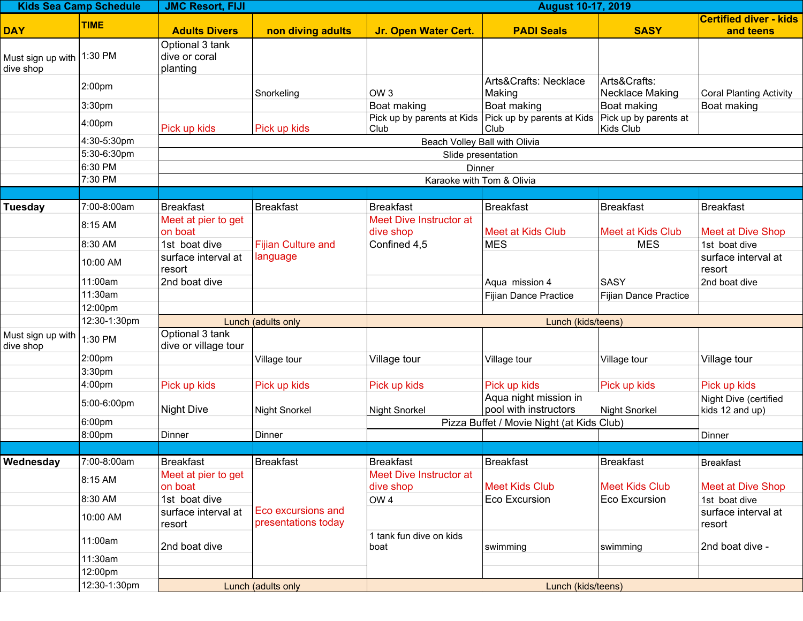| <b>Kids Sea Camp Schedule</b>  |                    | <b>JMC Resort, FIJI</b><br><b>August 10-17, 2019</b> |                                           |                                      |                                                                 |                                    |                                            |  |  |  |
|--------------------------------|--------------------|------------------------------------------------------|-------------------------------------------|--------------------------------------|-----------------------------------------------------------------|------------------------------------|--------------------------------------------|--|--|--|
| <b>DAY</b>                     | <b>TIME</b>        | <b>Adults Divers</b>                                 | non diving adults                         | <b>Jr. Open Water Cert.</b>          | <b>PADI Seals</b>                                               | <b>SASY</b>                        | <b>Certified diver - kids</b><br>and teens |  |  |  |
| Must sign up with<br>dive shop | 1:30 PM            | Optional 3 tank<br>dive or coral<br>planting         |                                           |                                      |                                                                 |                                    |                                            |  |  |  |
|                                | 2:00pm             |                                                      | Snorkeling                                | OW <sub>3</sub>                      | Arts&Crafts: Necklace<br>Making                                 | Arts&Crafts:<br>Necklace Making    | <b>Coral Planting Activity</b>             |  |  |  |
|                                | 3:30pm             |                                                      |                                           | Boat making                          | Boat making                                                     | Boat making                        | Boat making                                |  |  |  |
|                                | 4:00pm             | Pick up kids                                         | Pick up kids                              | Club                                 | Pick up by parents at Kids   Pick up by parents at Kids<br>Club | Pick up by parents at<br>Kids Club |                                            |  |  |  |
|                                | 4:30-5:30pm        | Beach Volley Ball with Olivia                        |                                           |                                      |                                                                 |                                    |                                            |  |  |  |
|                                | 5:30-6:30pm        |                                                      |                                           | Slide presentation                   |                                                                 |                                    |                                            |  |  |  |
|                                | 6:30 PM            |                                                      |                                           | Dinner                               |                                                                 |                                    |                                            |  |  |  |
|                                | 7:30 PM            |                                                      |                                           | Karaoke with Tom & Olivia            |                                                                 |                                    |                                            |  |  |  |
|                                |                    |                                                      |                                           |                                      |                                                                 |                                    |                                            |  |  |  |
| <b>Tuesday</b>                 | 7:00-8:00am        | <b>Breakfast</b>                                     | <b>Breakfast</b>                          | <b>Breakfast</b>                     | Breakfast                                                       | <b>Breakfast</b>                   | <b>Breakfast</b>                           |  |  |  |
|                                | 8:15 AM            | Meet at pier to get<br>on boat                       |                                           | Meet Dive Instructor at<br>dive shop | Meet at Kids Club                                               | Meet at Kids Club                  | <b>Meet at Dive Shop</b>                   |  |  |  |
|                                | 8:30 AM            | 1st boat dive                                        | <b>Fijian Culture and</b>                 | Confined 4,5                         | MES                                                             | <b>MES</b>                         | 1st boat dive                              |  |  |  |
|                                | 10:00 AM           | surface interval at<br>resort                        | language                                  |                                      |                                                                 |                                    | surface interval at<br>resort              |  |  |  |
|                                | 11:00am            | 2nd boat dive                                        |                                           |                                      | Aqua mission 4                                                  | <b>SASY</b>                        | 2nd boat dive                              |  |  |  |
|                                | 11:30am            |                                                      |                                           |                                      | Fijian Dance Practice                                           | Fijian Dance Practice              |                                            |  |  |  |
|                                | 12:00pm            |                                                      |                                           |                                      |                                                                 |                                    |                                            |  |  |  |
|                                | 12:30-1:30pm       |                                                      | Lunch (adults only                        |                                      | Lunch (kids/teens)                                              |                                    |                                            |  |  |  |
| Must sign up with<br>dive shop | 1:30 PM            | Optional 3 tank<br>dive or village tour              |                                           |                                      |                                                                 |                                    |                                            |  |  |  |
|                                | 2:00 <sub>pm</sub> |                                                      | Village tour                              | Village tour                         | Village tour                                                    | Village tour                       | Village tour                               |  |  |  |
|                                | 3:30pm             |                                                      |                                           |                                      |                                                                 |                                    |                                            |  |  |  |
|                                | 4:00pm             | Pick up kids                                         | Pick up kids                              | Pick up kids                         | Pick up kids                                                    | Pick up kids                       | Pick up kids                               |  |  |  |
|                                | 5:00-6:00pm        | <b>Night Dive</b>                                    | <b>Night Snorkel</b>                      | Night Snorkel                        | Aqua night mission in<br>pool with instructors                  | <b>Night Snorkel</b>               | Night Dive (certified<br>kids 12 and up)   |  |  |  |
|                                | 6:00pm             |                                                      |                                           |                                      | Pizza Buffet / Movie Night (at Kids Club)                       |                                    |                                            |  |  |  |
|                                | 8:00pm             | Dinner                                               | Dinner                                    |                                      |                                                                 |                                    | Dinner                                     |  |  |  |
|                                |                    |                                                      |                                           |                                      |                                                                 |                                    |                                            |  |  |  |
| Wednesday                      | 7:00-8:00am        | <b>Breakfast</b>                                     | <b>Breakfast</b>                          | <b>Breakfast</b>                     | Breakfast                                                       | <b>Breakfast</b>                   | <b>Breakfast</b>                           |  |  |  |
|                                | 8:15 AM            | Meet at pier to get<br>on boat                       |                                           | Meet Dive Instructor at<br>dive shop | Meet Kids Club                                                  | <b>Meet Kids Club</b>              | <b>Meet at Dive Shop</b>                   |  |  |  |
|                                | 8:30 AM            | 1st boat dive                                        |                                           | OW <sub>4</sub>                      | Eco Excursion                                                   | Eco Excursion                      | 1st boat dive                              |  |  |  |
|                                | 10:00 AM           | surface interval at<br>resort                        | Eco excursions and<br>presentations today |                                      |                                                                 |                                    | surface interval at<br>resort              |  |  |  |
|                                | 11:00am            | 2nd boat dive                                        |                                           | 1 tank fun dive on kids<br>boat      | swimming                                                        | swimming                           | 2nd boat dive -                            |  |  |  |
|                                | 11:30am            |                                                      |                                           |                                      |                                                                 |                                    |                                            |  |  |  |
|                                | 12:00pm            |                                                      |                                           |                                      |                                                                 |                                    |                                            |  |  |  |
|                                | 12:30-1:30pm       |                                                      | Lunch (adults only                        |                                      | Lunch (kids/teens)                                              |                                    |                                            |  |  |  |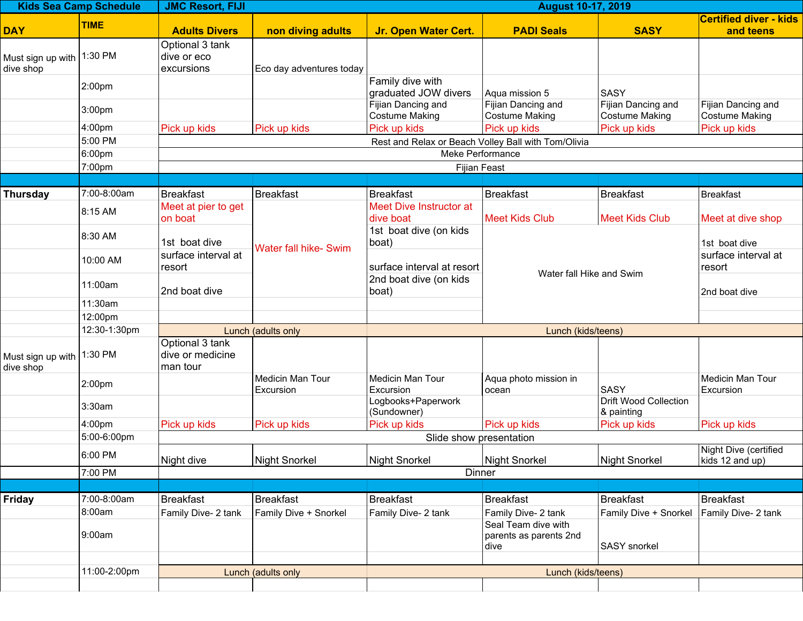| <b>Kids Sea Camp Schedule</b> |                                  | <b>JMC Resort, FIJI</b><br><b>August 10-17, 2019</b> |                                           |                                                      |                                                                                          |                                                           |                                         |  |  |  |
|-------------------------------|----------------------------------|------------------------------------------------------|-------------------------------------------|------------------------------------------------------|------------------------------------------------------------------------------------------|-----------------------------------------------------------|-----------------------------------------|--|--|--|
|                               | <b>TIME</b>                      |                                                      |                                           |                                                      |                                                                                          |                                                           | <b>Certified diver - kids</b>           |  |  |  |
| <b>DAY</b>                    |                                  | <b>Adults Divers</b>                                 | non diving adults                         | <b>Jr. Open Water Cert.</b>                          | <b>PADI Seals</b>                                                                        | <b>SASY</b>                                               | and teens                               |  |  |  |
|                               |                                  | Optional 3 tank                                      |                                           |                                                      |                                                                                          |                                                           |                                         |  |  |  |
| Must sign up with             | 1:30 PM                          | dive or eco                                          |                                           |                                                      |                                                                                          |                                                           |                                         |  |  |  |
| dive shop                     |                                  | excursions                                           | Eco day adventures today                  | Family dive with                                     |                                                                                          |                                                           |                                         |  |  |  |
|                               | 2:00pm                           |                                                      |                                           | graduated JOW divers                                 | Aqua mission 5                                                                           | <b>SASY</b>                                               |                                         |  |  |  |
|                               |                                  |                                                      |                                           | Fijian Dancing and                                   | Fijian Dancing and                                                                       | Fijian Dancing and                                        | Fijian Dancing and                      |  |  |  |
|                               | 3:00pm                           |                                                      |                                           | <b>Costume Making</b>                                | <b>Costume Making</b>                                                                    | Costume Making                                            | <b>Costume Making</b>                   |  |  |  |
|                               | 4:00 <sub>pm</sub>               | Pick up kids                                         | Pick up kids                              | Pick up kids                                         | Pick up kids                                                                             | Pick up kids                                              | Pick up kids                            |  |  |  |
|                               | 5:00 PM                          | Rest and Relax or Beach Volley Ball with Tom/Olivia  |                                           |                                                      |                                                                                          |                                                           |                                         |  |  |  |
|                               | 6:00pm                           |                                                      |                                           | Meke Performance                                     |                                                                                          |                                                           |                                         |  |  |  |
|                               | 7:00pm                           |                                                      |                                           | Fijian Feast                                         |                                                                                          |                                                           |                                         |  |  |  |
|                               |                                  |                                                      |                                           |                                                      |                                                                                          |                                                           |                                         |  |  |  |
| <b>Thursday</b>               | 7:00-8:00am                      | <b>Breakfast</b>                                     | Breakfast                                 | <b>Breakfast</b>                                     | <b>Breakfast</b>                                                                         | <b>Breakfast</b>                                          | <b>Breakfast</b>                        |  |  |  |
|                               | 8:15 AM                          | Meet at pier to get<br>on boat                       |                                           | <b>Meet Dive Instructor at</b><br>dive boat          | <b>Meet Kids Club</b>                                                                    | <b>Meet Kids Club</b>                                     | Meet at dive shop                       |  |  |  |
|                               |                                  |                                                      |                                           | 1st boat dive (on kids                               |                                                                                          |                                                           |                                         |  |  |  |
|                               | 8:30 AM                          | 1st boat dive                                        |                                           | boat)                                                |                                                                                          |                                                           | 1st boat dive                           |  |  |  |
|                               | 10:00 AM                         | surface interval at                                  | Water fall hike- Swim                     | surface interval at resort<br>2nd boat dive (on kids | Water fall Hike and Swim                                                                 |                                                           | surface interval at                     |  |  |  |
|                               |                                  | resort                                               |                                           |                                                      |                                                                                          |                                                           | resort                                  |  |  |  |
|                               | 11:00am                          |                                                      |                                           |                                                      |                                                                                          |                                                           |                                         |  |  |  |
|                               |                                  | 2nd boat dive                                        |                                           | boat)                                                |                                                                                          |                                                           | 2nd boat dive                           |  |  |  |
|                               | 11:30am                          |                                                      |                                           |                                                      |                                                                                          |                                                           |                                         |  |  |  |
|                               | 12:00pm                          |                                                      |                                           |                                                      |                                                                                          |                                                           |                                         |  |  |  |
|                               | 12:30-1:30pm                     | Optional 3 tank                                      | Lunch (adults only<br>Lunch (kids/teens)  |                                                      |                                                                                          |                                                           |                                         |  |  |  |
| Must sign up with             | 1:30 PM                          | dive or medicine                                     |                                           |                                                      |                                                                                          |                                                           |                                         |  |  |  |
| dive shop                     |                                  | man tour                                             |                                           |                                                      |                                                                                          |                                                           |                                         |  |  |  |
|                               | 2:00pm                           |                                                      | Medicin Man Tour                          | Medicin Man Tour                                     | Aqua photo mission in                                                                    |                                                           | Medicin Man Tour                        |  |  |  |
|                               |                                  |                                                      | <b>Excursion</b>                          | Excursion                                            | ocean                                                                                    | SASY                                                      | Excursion                               |  |  |  |
|                               | 3:30am                           |                                                      |                                           | Logbooks+Paperwork<br>(Sundowner)                    |                                                                                          | Drift Wood Collection                                     |                                         |  |  |  |
|                               | 4:00 <sub>pm</sub>               | Pick up kids                                         | Pick up kids                              | Pick up kids                                         | Pick up kids                                                                             | & painting<br>Pick up kids                                | Pick up kids                            |  |  |  |
|                               | 5:00-6:00pm                      | Slide show presentation                              |                                           |                                                      |                                                                                          |                                                           |                                         |  |  |  |
|                               |                                  | Night Dive (certified                                |                                           |                                                      |                                                                                          |                                                           |                                         |  |  |  |
|                               | 6:00 PM                          | Night dive                                           | Night Snorkel                             | Night Snorkel                                        | <b>Night Snorkel</b>                                                                     | Night Snorkel                                             | kids 12 and up)                         |  |  |  |
|                               | 7:00 PM                          |                                                      |                                           | Dinner                                               |                                                                                          |                                                           |                                         |  |  |  |
|                               |                                  |                                                      |                                           |                                                      |                                                                                          |                                                           |                                         |  |  |  |
|                               |                                  |                                                      |                                           |                                                      |                                                                                          |                                                           |                                         |  |  |  |
|                               |                                  |                                                      |                                           |                                                      |                                                                                          |                                                           |                                         |  |  |  |
|                               |                                  |                                                      |                                           |                                                      |                                                                                          |                                                           |                                         |  |  |  |
|                               |                                  |                                                      |                                           |                                                      | dive                                                                                     |                                                           |                                         |  |  |  |
|                               |                                  |                                                      |                                           |                                                      |                                                                                          |                                                           |                                         |  |  |  |
|                               |                                  |                                                      |                                           |                                                      |                                                                                          |                                                           |                                         |  |  |  |
|                               | 11:00-2:00pm                     |                                                      | Lunch (adults only                        |                                                      | Lunch (kids/teens)                                                                       |                                                           |                                         |  |  |  |
| Friday                        | 7:00-8:00am<br>8:00am <br>9:00am | <b>Breakfast</b><br>Family Dive- 2 tank              | Breakfast<br><b>Family Dive + Snorkel</b> | <b>Breakfast</b><br>Family Dive- 2 tank              | <b>Breakfast</b><br>Family Dive- 2 tank<br>Seal Team dive with<br>parents as parents 2nd | <b>Breakfast</b><br>Family Dive + Snorkel<br>SASY snorkel | <b>Breakfast</b><br>Family Dive- 2 tank |  |  |  |